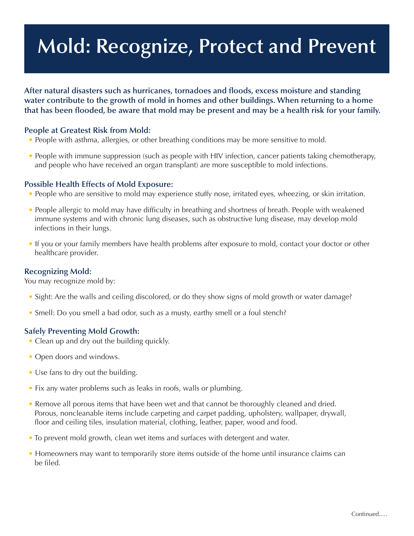# **Mold: Recognize, Protect and Prevent**

**After natural disasters such as hurricanes, tornadoes and floods, excess moisture and standing water contribute to the growth of mold in homes and other buildings. When returning to a home** that has been flooded, be aware that mold may be present and may be a health risk for your family.

#### **People at Greatest Risk from Mold:**

- People with asthma, allergies, or other breathing conditions may be more sensitive to mold.
- People with immune suppression (such as people with HIV infection, cancer patients taking chemotherapy, and people who have received an organ transplant) are more susceptible to mold infections.

#### **Possible Health Effects of Mold Exposure:**

- People who are sensitive to mold may experience stuffy nose, irritated eyes, wheezing, or skin irritation.
- People allergic to mold may have difficulty in breathing and shortness of breath. People with weakened immune systems and with chronic lung diseases, such as obstructive lung disease, may develop mold infections in their lungs.
- If you or your family members have health problems after exposure to mold, contact your doctor or other healthcare provider.

#### **Recognizing Mold:**

You may recognize mold by:

- Sight: Are the walls and ceiling discolored, or do they show signs of mold growth or water damage?
- Smell: Do you smell a bad odor, such as a musty, earthy smell or a foul stench?

#### **Safely Preventing Mold Growth:**

- Clean up and dry out the building quickly.
- Open doors and windows.
- Use fans to dry out the building.
- Fix any water problems such as leaks in roofs, walls or plumbing.
- Remove all porous items that have been wet and that cannot be thoroughly cleaned and dried. Porous, noncleanable items include carpeting and carpet padding, upholstery, wallpaper, drywall, floor and ceiling tiles, insulation material, clothing, leather, paper, wood and food.
- To prevent mold growth, clean wet items and surfaces with detergent and water.
- Homeowners may want to temporarily store items outside of the home until insurance claims can be filed.